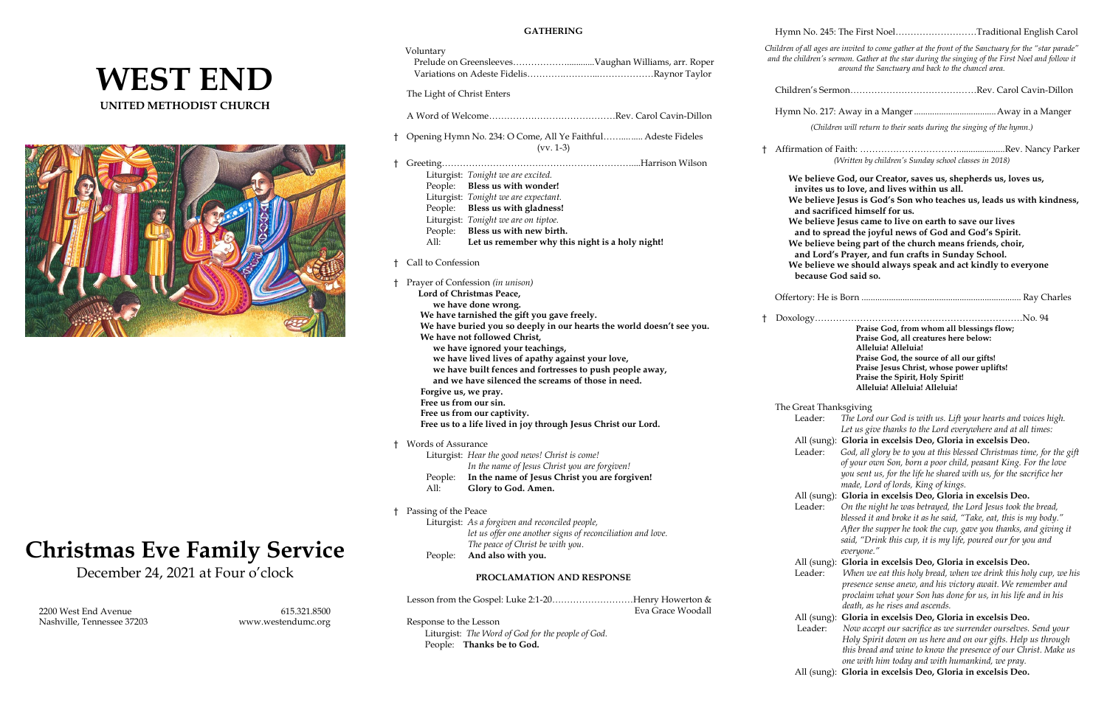## **WEST END UNITED METHODIST CHURCH**



# **Christmas Eve Family Service**

December 24, 2021 at Four o'clock

 2200 West End Avenue 615.321.8500 Nashville, Tennessee 37203 [www.westendumc.org](http://www.westendumc.org/)

#### **GATHERING**

|            | Voluntary                                                                                    |                                                                                                                                                                                                                                                                                                                |    | Children of all as<br>and the childrer |
|------------|----------------------------------------------------------------------------------------------|----------------------------------------------------------------------------------------------------------------------------------------------------------------------------------------------------------------------------------------------------------------------------------------------------------------|----|----------------------------------------|
|            | The Light of Christ Enters                                                                   |                                                                                                                                                                                                                                                                                                                |    | Children's                             |
|            |                                                                                              |                                                                                                                                                                                                                                                                                                                |    | Hymn No.                               |
| t          | Opening Hymn No. 234: O Come, All Ye Faithful Adeste Fideles<br>$(vv. 1-3)$                  |                                                                                                                                                                                                                                                                                                                | ŧ. | (C)<br>Affirmation                     |
| t          |                                                                                              |                                                                                                                                                                                                                                                                                                                |    |                                        |
|            |                                                                                              | Liturgist: Tonight we are excited.                                                                                                                                                                                                                                                                             |    | We beli                                |
|            |                                                                                              | People: Bless us with wonder!                                                                                                                                                                                                                                                                                  |    | invite                                 |
|            |                                                                                              | Liturgist: Tonight we are expectant.                                                                                                                                                                                                                                                                           |    | We beli                                |
|            |                                                                                              | People: Bless us with gladness!                                                                                                                                                                                                                                                                                |    | and sa                                 |
|            |                                                                                              | Liturgist: Tonight we are on tiptoe.                                                                                                                                                                                                                                                                           |    | We beli                                |
|            | People:                                                                                      | Bless us with new birth.                                                                                                                                                                                                                                                                                       |    | and to                                 |
|            | All:                                                                                         | Let us remember why this night is a holy night!                                                                                                                                                                                                                                                                |    | We bel:                                |
|            | <sup>†</sup> Call to Confession                                                              |                                                                                                                                                                                                                                                                                                                |    | and L<br>We beli                       |
|            |                                                                                              |                                                                                                                                                                                                                                                                                                                |    | becau                                  |
| t          | Prayer of Confession (in unison)<br>Lord of Christmas Peace,                                 |                                                                                                                                                                                                                                                                                                                |    | Offertory: 1                           |
|            | we have done wrong.<br>We have tarnished the gift you gave freely.                           |                                                                                                                                                                                                                                                                                                                |    |                                        |
|            | Forgive us, we pray.                                                                         | We have buried you so deeply in our hearts the world doesn't see you.<br>We have not followed Christ,<br>we have ignored your teachings,<br>we have lived lives of apathy against your love,<br>we have built fences and fortresses to push people away,<br>and we have silenced the screams of those in need. | ŧ  | Doxology.                              |
|            | Free us from our sin.                                                                        |                                                                                                                                                                                                                                                                                                                |    | The Great <sup>T</sup>                 |
|            | Free us from our captivity.<br>Free us to a life lived in joy through Jesus Christ our Lord. |                                                                                                                                                                                                                                                                                                                |    | Leade                                  |
|            |                                                                                              |                                                                                                                                                                                                                                                                                                                |    |                                        |
| $\ddagger$ | Words of Assurance                                                                           |                                                                                                                                                                                                                                                                                                                |    | All (st                                |
|            |                                                                                              | Liturgist: Hear the good news! Christ is come!                                                                                                                                                                                                                                                                 |    | Leade                                  |
|            | People:                                                                                      | In the name of Jesus Christ you are forgiven!<br>In the name of Jesus Christ you are forgiven!                                                                                                                                                                                                                 |    |                                        |
|            | All:                                                                                         | Glory to God. Amen.                                                                                                                                                                                                                                                                                            |    |                                        |
|            |                                                                                              |                                                                                                                                                                                                                                                                                                                |    | All (st                                |
| t          | Passing of the Peace                                                                         |                                                                                                                                                                                                                                                                                                                |    | Leade                                  |
|            |                                                                                              | Liturgist: As a forgiven and reconciled people,                                                                                                                                                                                                                                                                |    |                                        |
|            |                                                                                              | let us offer one another signs of reconciliation and love.<br>The peace of Christ be with you.                                                                                                                                                                                                                 |    |                                        |
|            | People:                                                                                      | And also with you.                                                                                                                                                                                                                                                                                             |    | All (st                                |
|            |                                                                                              | PROCLAMATION AND RESPONSE                                                                                                                                                                                                                                                                                      |    | Leade                                  |
|            |                                                                                              | Lesson from the Gospel: Luke 2:1-20Henry Howerton &<br>Eva Grace Woodall                                                                                                                                                                                                                                       |    |                                        |
|            | Response to the Lesson                                                                       |                                                                                                                                                                                                                                                                                                                |    | All (st                                |
|            |                                                                                              | Liturgist: The Word of God for the people of God.                                                                                                                                                                                                                                                              |    | Leade                                  |

n of Faith: ……………………………………………………Rev. Nancy Parker *(Written by children's Sunday school classes in 2018)*

ieve God, our Creator, saves us, shepherds us, loves us, **invites us to love, and lives within us all. We believe Jesus is God's Son who teaches us, leads us with kindness, and sacrificed himself for us.**

ieve Jesus came to live on earth to save our lives

ieve we should always speak and act kindly to everyone **because God said so.** 

r: The Lord our God is with us. Lift your hearts and voices high.  *Let us give thanks to the Lord everywhere and at all times:*

People: **Thanks be to God.**

r: *God, all glory be to you at this blessed Christmas time, for the gift of your own Son, born a poor child, peasant King. For the love you sent us, for the life he shared with us, for the sacrifice her made, Lord of lords, King of kings.*

Hymn No. 245: The First Noel………………………Traditional English Carol

r: On the night he was betrayed, the Lord Jesus took the bread,  *blessed it and broke it as he said, "Take, eat, this is my body." After the supper he took the cup, gave you thanks, and giving it said, "Drink this cup, it is my life, poured our for you and everyone."*

ang): Gloria in excelsis Deo, Gloria in excelsis Deo.

*Children of all ages are invited to come gather at the front of the Sanctuary for the "star parade" and the children's sermon. Gather at the star during the singing of the First Noel and follow it around the Sanctuary and back to the chancel area.* 

Children's Sermon……………………………………Rev. Carol Cavin-Dillon

Hymn No. 217: Away in a Manger....................................Away in a Manger

*(Children will return to their seats during the singing of the hymn.)*

**and to spread the joyful news of God and God's Spirit.**

ieve being part of the church means friends, choir,

**and Lord's Prayer, and fun crafts in Sunday School.**

Offertory: He is Born ...................................................................... Ray Charles

† Doxology……………………………………………………………No. 94 **Praise God, from whom all blessings flow; Praise God, all creatures here below: Alleluia! Alleluia! Praise God, the source of all our gifts! Praise Jesus Christ, whose power uplifts! Praise the Spirit, Holy Spirit! Alleluia! Alleluia! Alleluia!**

Thanksgiving

#### All (sung): **Gloria in excelsis Deo, Gloria in excelsis Deo.**

All (sung): **Gloria in excelsis Deo, Gloria in excelsis Deo.**

Leader: *When we eat this holy bread, when we drink this holy cup, we his presence sense anew, and his victory await. We remember and proclaim what your Son has done for us, in his life and in his death, as he rises and ascends.*

All (sung): **Gloria in excelsis Deo, Gloria in excelsis Deo.** er: Now accept our sacrifice as we surrender ourselves. Send your  *Holy Spirit down on us here and on our gifts. Help us through this bread and wine to know the presence of our Christ. Make us* 

 *one with him today and with humankind, we pray.*

All (sung): **Gloria in excelsis Deo, Gloria in excelsis Deo.**